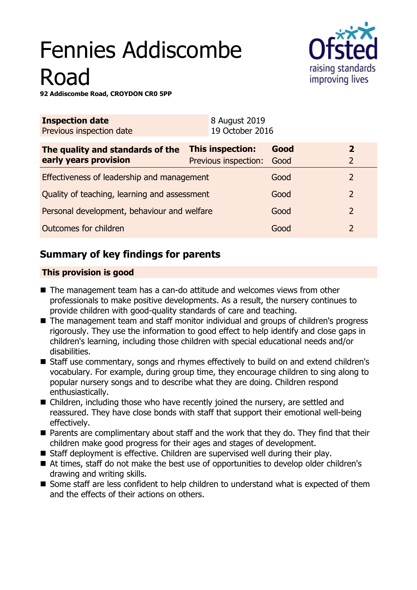# Fennies Addiscombe Road



**92 Addiscombe Road, CROYDON CR0 5PP**

| <b>Inspection date</b><br>Previous inspection date        | 8 August 2019<br>19 October 2016         |              |                                  |
|-----------------------------------------------------------|------------------------------------------|--------------|----------------------------------|
| The quality and standards of the<br>early years provision | This inspection:<br>Previous inspection: | Good<br>Good | $\overline{2}$<br>$\overline{2}$ |
| Effectiveness of leadership and management                |                                          | Good         | 2                                |
| Quality of teaching, learning and assessment              |                                          | Good         | 2                                |
| Personal development, behaviour and welfare               |                                          | Good         | $\overline{2}$                   |
| Outcomes for children                                     |                                          | Good         | 2                                |
|                                                           |                                          |              |                                  |

# **Summary of key findings for parents**

## **This provision is good**

- The management team has a can-do attitude and welcomes views from other professionals to make positive developments. As a result, the nursery continues to provide children with good-quality standards of care and teaching.
- The management team and staff monitor individual and groups of children's progress rigorously. They use the information to good effect to help identify and close gaps in children's learning, including those children with special educational needs and/or disabilities.
- Staff use commentary, songs and rhymes effectively to build on and extend children's vocabulary. For example, during group time, they encourage children to sing along to popular nursery songs and to describe what they are doing. Children respond enthusiastically.
- $\blacksquare$  Children, including those who have recently joined the nursery, are settled and reassured. They have close bonds with staff that support their emotional well-being effectively.
- $\blacksquare$  Parents are complimentary about staff and the work that they do. They find that their children make good progress for their ages and stages of development.
- $\blacksquare$  Staff deployment is effective. Children are supervised well during their play.
- At times, staff do not make the best use of opportunities to develop older children's drawing and writing skills.
- Some staff are less confident to help children to understand what is expected of them and the effects of their actions on others.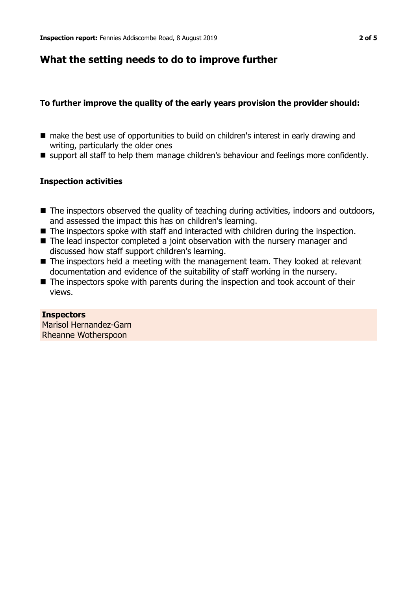## **What the setting needs to do to improve further**

## **To further improve the quality of the early years provision the provider should:**

- make the best use of opportunities to build on children's interest in early drawing and writing, particularly the older ones
- support all staff to help them manage children's behaviour and feelings more confidently.

## **Inspection activities**

- $\blacksquare$  The inspectors observed the quality of teaching during activities, indoors and outdoors, and assessed the impact this has on children's learning.
- $\blacksquare$  The inspectors spoke with staff and interacted with children during the inspection.
- $\blacksquare$  The lead inspector completed a joint observation with the nursery manager and discussed how staff support children's learning.
- $\blacksquare$  The inspectors held a meeting with the management team. They looked at relevant documentation and evidence of the suitability of staff working in the nursery.
- $\blacksquare$  The inspectors spoke with parents during the inspection and took account of their views.

#### **Inspectors**

Marisol Hernandez-Garn Rheanne Wotherspoon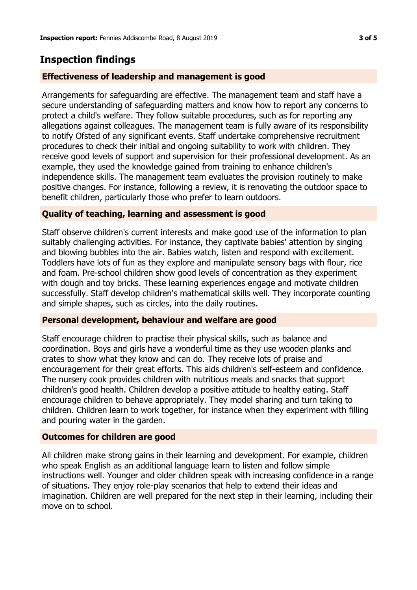## **Inspection findings**

## **Effectiveness of leadership and management is good**

Arrangements for safeguarding are effective. The management team and staff have a secure understanding of safeguarding matters and know how to report any concerns to protect a child's welfare. They follow suitable procedures, such as for reporting any allegations against colleagues. The management team is fully aware of its responsibility to notify Ofsted of any significant events. Staff undertake comprehensive recruitment procedures to check their initial and ongoing suitability to work with children. They receive good levels of support and supervision for their professional development. As an example, they used the knowledge gained from training to enhance children's independence skills. The management team evaluates the provision routinely to make positive changes. For instance, following a review, it is renovating the outdoor space to benefit children, particularly those who prefer to learn outdoors.

## **Quality of teaching, learning and assessment is good**

Staff observe children's current interests and make good use of the information to plan suitably challenging activities. For instance, they captivate babies' attention by singing and blowing bubbles into the air. Babies watch, listen and respond with excitement. Toddlers have lots of fun as they explore and manipulate sensory bags with flour, rice and foam. Pre-school children show good levels of concentration as they experiment with dough and toy bricks. These learning experiences engage and motivate children successfully. Staff develop children's mathematical skills well. They incorporate counting and simple shapes, such as circles, into the daily routines.

## **Personal development, behaviour and welfare are good**

Staff encourage children to practise their physical skills, such as balance and coordination. Boys and girls have a wonderful time as they use wooden planks and crates to show what they know and can do. They receive lots of praise and encouragement for their great efforts. This aids children's self-esteem and confidence. The nursery cook provides children with nutritious meals and snacks that support children's good health. Children develop a positive attitude to healthy eating. Staff encourage children to behave appropriately. They model sharing and turn taking to children. Children learn to work together, for instance when they experiment with filling and pouring water in the garden.

## **Outcomes for children are good**

All children make strong gains in their learning and development. For example, children who speak English as an additional language learn to listen and follow simple instructions well. Younger and older children speak with increasing confidence in a range of situations. They enjoy role-play scenarios that help to extend their ideas and imagination. Children are well prepared for the next step in their learning, including their move on to school.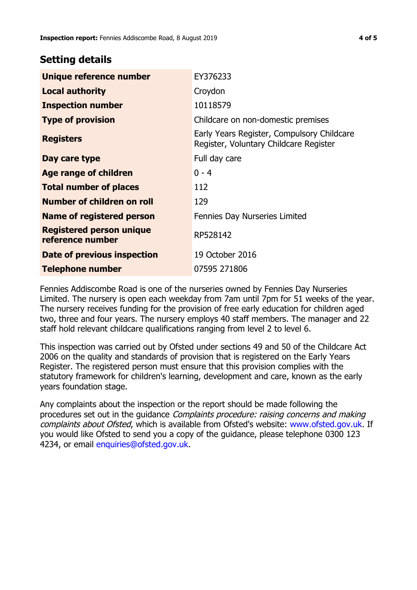## **Setting details**

| Unique reference number                             | EY376233                                                                             |  |
|-----------------------------------------------------|--------------------------------------------------------------------------------------|--|
| <b>Local authority</b>                              | Croydon                                                                              |  |
| <b>Inspection number</b>                            | 10118579                                                                             |  |
| <b>Type of provision</b>                            | Childcare on non-domestic premises                                                   |  |
| <b>Registers</b>                                    | Early Years Register, Compulsory Childcare<br>Register, Voluntary Childcare Register |  |
| Day care type                                       | Full day care                                                                        |  |
| <b>Age range of children</b>                        | $0 - 4$                                                                              |  |
| <b>Total number of places</b>                       | 112                                                                                  |  |
| Number of children on roll                          | 129                                                                                  |  |
| Name of registered person                           | Fennies Day Nurseries Limited                                                        |  |
| <b>Registered person unique</b><br>reference number | RP528142                                                                             |  |
| Date of previous inspection                         | 19 October 2016                                                                      |  |
| <b>Telephone number</b>                             | 07595 271806                                                                         |  |

Fennies Addiscombe Road is one of the nurseries owned by Fennies Day Nurseries Limited. The nursery is open each weekday from 7am until 7pm for 51 weeks of the year. The nursery receives funding for the provision of free early education for children aged two, three and four years. The nursery employs 40 staff members. The manager and 22 staff hold relevant childcare qualifications ranging from level 2 to level 6.

This inspection was carried out by Ofsted under sections 49 and 50 of the Childcare Act 2006 on the quality and standards of provision that is registered on the Early Years Register. The registered person must ensure that this provision complies with the statutory framework for children's learning, development and care, known as the early years foundation stage.

Any complaints about the inspection or the report should be made following the procedures set out in the guidance Complaints procedure: raising concerns and making complaints about Ofsted, which is available from Ofsted's website: www.ofsted.gov.uk. If you would like Ofsted to send you a copy of the guidance, please telephone 0300 123 4234, or email [enquiries@ofsted.gov.uk.](mailto:enquiries@ofsted.gov.uk)